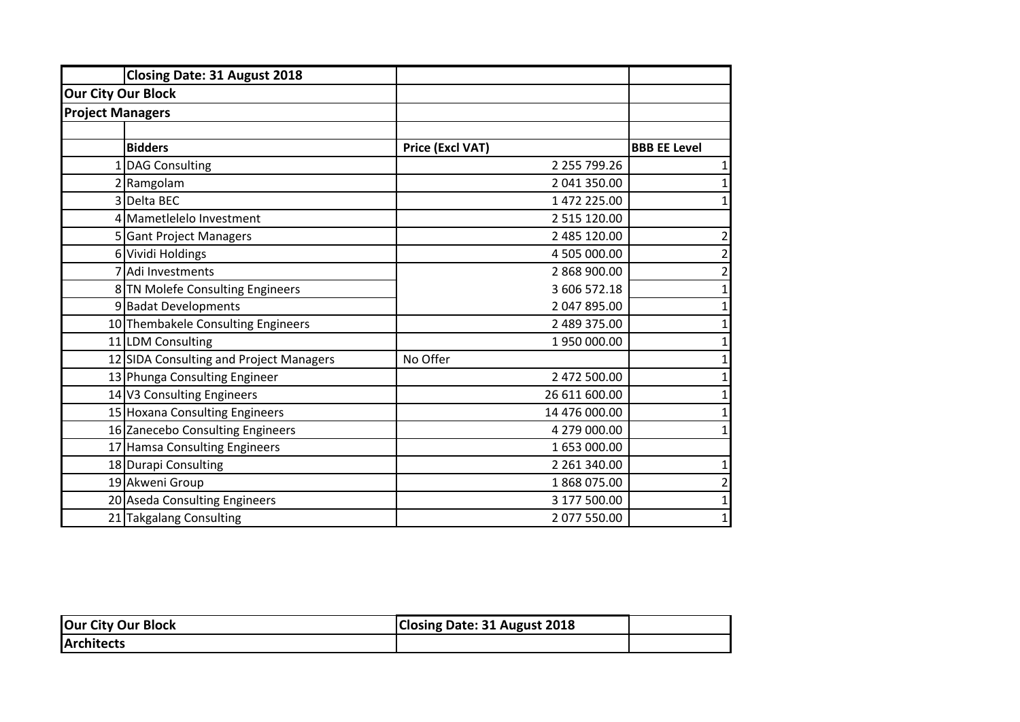|                         | <b>Closing Date: 31 August 2018</b>     |                  |                     |
|-------------------------|-----------------------------------------|------------------|---------------------|
|                         | <b>Our City Our Block</b>               |                  |                     |
| <b>Project Managers</b> |                                         |                  |                     |
|                         |                                         |                  |                     |
|                         | <b>Bidders</b>                          | Price (Excl VAT) | <b>BBB EE Level</b> |
|                         | 1 DAG Consulting                        | 2 255 799.26     | 1                   |
|                         | 2 Ramgolam                              | 2 041 350.00     | $\mathbf 1$         |
|                         | 3 Delta BEC                             | 1 472 225.00     | $\mathbf{1}$        |
|                         | 4 Mametlelelo Investment                | 2 515 120.00     |                     |
|                         | 5 Gant Project Managers                 | 2 485 120.00     | $\mathbf 2$         |
|                         | 6 Vividi Holdings                       | 4 505 000.00     | $\mathbf 2$         |
|                         | 7 Adi Investments                       | 2 868 900.00     | $\mathbf 2$         |
|                         | 8 TN Molefe Consulting Engineers        | 3 606 572.18     | $\mathbf 1$         |
|                         | 9 Badat Developments                    | 2 047 895.00     | $\mathbf{1}$        |
|                         | 10 Thembakele Consulting Engineers      | 2 489 375.00     | $\mathbf 1$         |
|                         | 11 LDM Consulting                       | 1950000.00       | $\mathbf 1$         |
|                         | 12 SIDA Consulting and Project Managers | No Offer         | $\mathbf 1$         |
|                         | 13 Phunga Consulting Engineer           | 2 472 500.00     | $\mathbf 1$         |
|                         | 14 V3 Consulting Engineers              | 26 611 600.00    | $\mathbf 1$         |
|                         | 15 Hoxana Consulting Engineers          | 14 476 000.00    | $\mathbf{1}$        |
|                         | 16 Zanecebo Consulting Engineers        | 4 279 000.00     | $\mathbf{1}$        |
|                         | 17 Hamsa Consulting Engineers           | 1 653 000.00     |                     |
|                         | 18 Durapi Consulting                    | 2 261 340.00     | $\mathbf{1}$        |
|                         | 19 Akweni Group                         | 1868075.00       | $\mathbf 2$         |
|                         | 20 Aseda Consulting Engineers           | 3 177 500.00     | $\mathbf 1$         |
| 21                      | <b>Takgalang Consulting</b>             | 2 077 550.00     | $\mathbf{1}$        |

| <b>Our City Our Block</b> | Closing Date: 31 August 2018 |  |
|---------------------------|------------------------------|--|
| <b>Architects</b>         |                              |  |